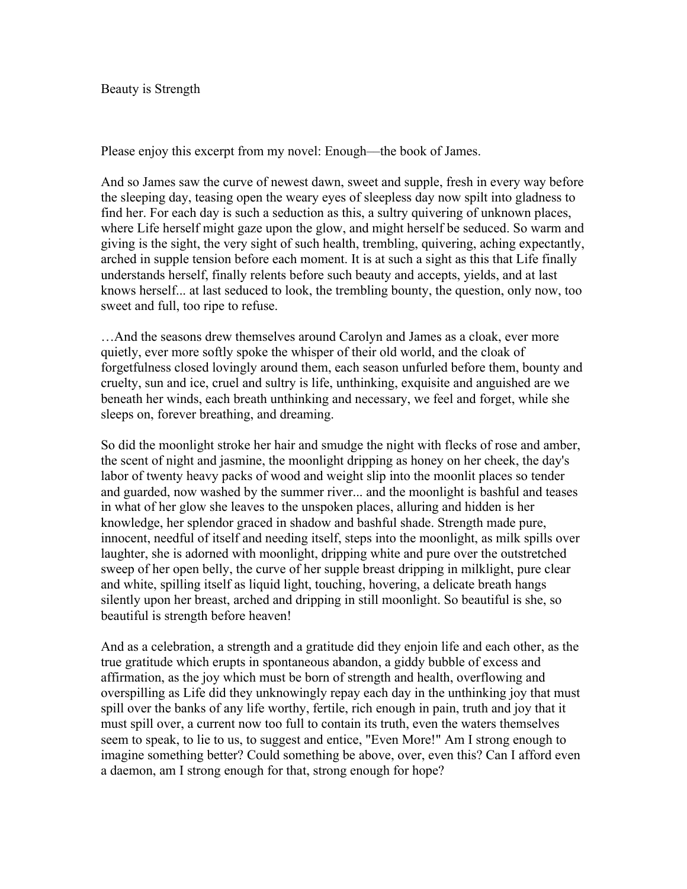Beauty is Strength

Please enjoy this excerpt from my novel: Enough––the book of James.

And so James saw the curve of newest dawn, sweet and supple, fresh in every way before the sleeping day, teasing open the weary eyes of sleepless day now spilt into gladness to find her. For each day is such a seduction as this, a sultry quivering of unknown places, where Life herself might gaze upon the glow, and might herself be seduced. So warm and giving is the sight, the very sight of such health, trembling, quivering, aching expectantly, arched in supple tension before each moment. It is at such a sight as this that Life finally understands herself, finally relents before such beauty and accepts, yields, and at last knows herself... at last seduced to look, the trembling bounty, the question, only now, too sweet and full, too ripe to refuse.

…And the seasons drew themselves around Carolyn and James as a cloak, ever more quietly, ever more softly spoke the whisper of their old world, and the cloak of forgetfulness closed lovingly around them, each season unfurled before them, bounty and cruelty, sun and ice, cruel and sultry is life, unthinking, exquisite and anguished are we beneath her winds, each breath unthinking and necessary, we feel and forget, while she sleeps on, forever breathing, and dreaming.

So did the moonlight stroke her hair and smudge the night with flecks of rose and amber, the scent of night and jasmine, the moonlight dripping as honey on her cheek, the day's labor of twenty heavy packs of wood and weight slip into the moonlit places so tender and guarded, now washed by the summer river... and the moonlight is bashful and teases in what of her glow she leaves to the unspoken places, alluring and hidden is her knowledge, her splendor graced in shadow and bashful shade. Strength made pure, innocent, needful of itself and needing itself, steps into the moonlight, as milk spills over laughter, she is adorned with moonlight, dripping white and pure over the outstretched sweep of her open belly, the curve of her supple breast dripping in milklight, pure clear and white, spilling itself as liquid light, touching, hovering, a delicate breath hangs silently upon her breast, arched and dripping in still moonlight. So beautiful is she, so beautiful is strength before heaven!

And as a celebration, a strength and a gratitude did they enjoin life and each other, as the true gratitude which erupts in spontaneous abandon, a giddy bubble of excess and affirmation, as the joy which must be born of strength and health, overflowing and overspilling as Life did they unknowingly repay each day in the unthinking joy that must spill over the banks of any life worthy, fertile, rich enough in pain, truth and joy that it must spill over, a current now too full to contain its truth, even the waters themselves seem to speak, to lie to us, to suggest and entice, "Even More!" Am I strong enough to imagine something better? Could something be above, over, even this? Can I afford even a daemon, am I strong enough for that, strong enough for hope?